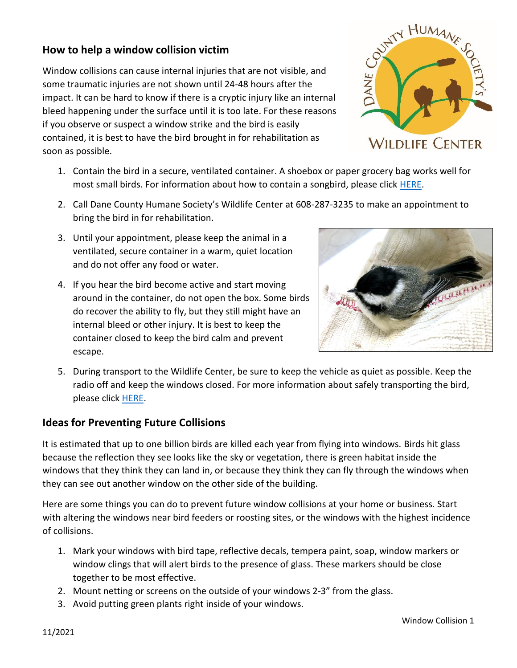## **How to help a window collision victim**

Window collisions can cause internal injuries that are not visible, and some traumatic injuries are not shown until 24-48 hours after the impact. It can be hard to know if there is a cryptic injury like an internal bleed happening under the surface until it is too late. For these reasons if you observe or suspect a window strike and the bird is easily contained, it is best to have the bird brought in for rehabilitation as soon as possible.

- 1. Contain the bird in a secure, ventilated container. A shoebox or paper grocery bag works well for most small birds. For information about how to contain a songbird, please click **HERE**.
- 2. Call Dane County Humane Society's Wildlife Center at 608-287-3235 to make an appointment to bring the bird in for rehabilitation.
- 3. Until your appointment, please keep the animal in a ventilated, secure container in a warm, quiet location and do not offer any food or water.
- 4. If you hear the bird become active and start moving around in the container, do not open the box. Some birds do recover the ability to fly, but they still might have an internal bleed or other injury. It is best to keep the container closed to keep the bird calm and prevent escape.



5. During transport to the Wildlife Center, be sure to keep the vehicle as quiet as possible. Keep the radio off and keep the windows closed. For more information about safely transporting the bird, please click [HERE.](https://p.widencdn.net/0gjqz8/transport)

## **Ideas for Preventing Future Collisions**

It is estimated that up to one billion birds are killed each year from flying into windows. Birds hit glass because the reflection they see looks like the sky or vegetation, there is green habitat inside the windows that they think they can land in, or because they think they can fly through the windows when they can see out another window on the other side of the building.

Here are some things you can do to prevent future window collisions at your home or business. Start with altering the windows near bird feeders or roosting sites, or the windows with the highest incidence of collisions.

- 1. Mark your windows with bird tape, reflective decals, tempera paint, soap, window markers or window clings that will alert birds to the presence of glass. These markers should be close together to be most effective.
- 2. Mount netting or screens on the outside of your windows 2-3" from the glass.
- 3. Avoid putting green plants right inside of your windows.